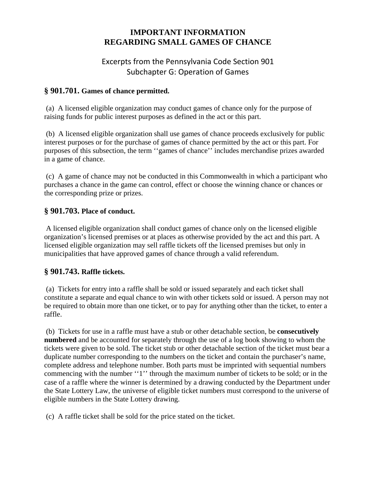# **IMPORTANT INFORMATION REGARDING SMALL GAMES OF CHANCE**

# Excerpts from the Pennsylvania Code Section 901 Subchapter G: Operation of Games

### **§ 901.701. Games of chance permitted.**

 (a) A licensed eligible organization may conduct games of chance only for the purpose of raising funds for public interest purposes as defined in the act or this part.

 (b) A licensed eligible organization shall use games of chance proceeds exclusively for public interest purposes or for the purchase of games of chance permitted by the act or this part. For purposes of this subsection, the term ''games of chance'' includes merchandise prizes awarded in a game of chance.

 (c) A game of chance may not be conducted in this Commonwealth in which a participant who purchases a chance in the game can control, effect or choose the winning chance or chances or the corresponding prize or prizes.

### **§ 901.703. Place of conduct.**

 A licensed eligible organization shall conduct games of chance only on the licensed eligible organization's licensed premises or at places as otherwise provided by the act and this part. A licensed eligible organization may sell raffle tickets off the licensed premises but only in municipalities that have approved games of chance through a valid referendum.

## **§ 901.743. Raffle tickets.**

 (a) Tickets for entry into a raffle shall be sold or issued separately and each ticket shall constitute a separate and equal chance to win with other tickets sold or issued. A person may not be required to obtain more than one ticket, or to pay for anything other than the ticket, to enter a raffle.

 (b) Tickets for use in a raffle must have a stub or other detachable section, be **consecutively numbered** and be accounted for separately through the use of a log book showing to whom the tickets were given to be sold. The ticket stub or other detachable section of the ticket must bear a duplicate number corresponding to the numbers on the ticket and contain the purchaser's name, complete address and telephone number. Both parts must be imprinted with sequential numbers commencing with the number ''1'' through the maximum number of tickets to be sold; or in the case of a raffle where the winner is determined by a drawing conducted by the Department under the State Lottery Law, the universe of eligible ticket numbers must correspond to the universe of eligible numbers in the State Lottery drawing.

(c) A raffle ticket shall be sold for the price stated on the ticket.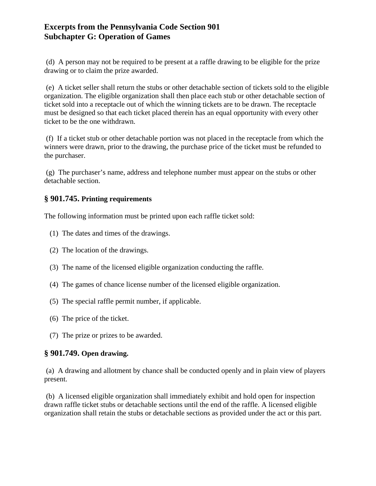## **Excerpts from the Pennsylvania Code Section 901 Subchapter G: Operation of Games**

 (d) A person may not be required to be present at a raffle drawing to be eligible for the prize drawing or to claim the prize awarded.

 (e) A ticket seller shall return the stubs or other detachable section of tickets sold to the eligible organization. The eligible organization shall then place each stub or other detachable section of ticket sold into a receptacle out of which the winning tickets are to be drawn. The receptacle must be designed so that each ticket placed therein has an equal opportunity with every other ticket to be the one withdrawn.

 (f) If a ticket stub or other detachable portion was not placed in the receptacle from which the winners were drawn, prior to the drawing, the purchase price of the ticket must be refunded to the purchaser.

 (g) The purchaser's name, address and telephone number must appear on the stubs or other detachable section.

### **§ 901.745. Printing requirements**

The following information must be printed upon each raffle ticket sold:

- (1) The dates and times of the drawings.
- (2) The location of the drawings.
- (3) The name of the licensed eligible organization conducting the raffle.
- (4) The games of chance license number of the licensed eligible organization.
- (5) The special raffle permit number, if applicable.
- (6) The price of the ticket.
- (7) The prize or prizes to be awarded.

#### **§ 901.749. Open drawing.**

 (a) A drawing and allotment by chance shall be conducted openly and in plain view of players present.

 (b) A licensed eligible organization shall immediately exhibit and hold open for inspection drawn raffle ticket stubs or detachable sections until the end of the raffle. A licensed eligible organization shall retain the stubs or detachable sections as provided under the act or this part.